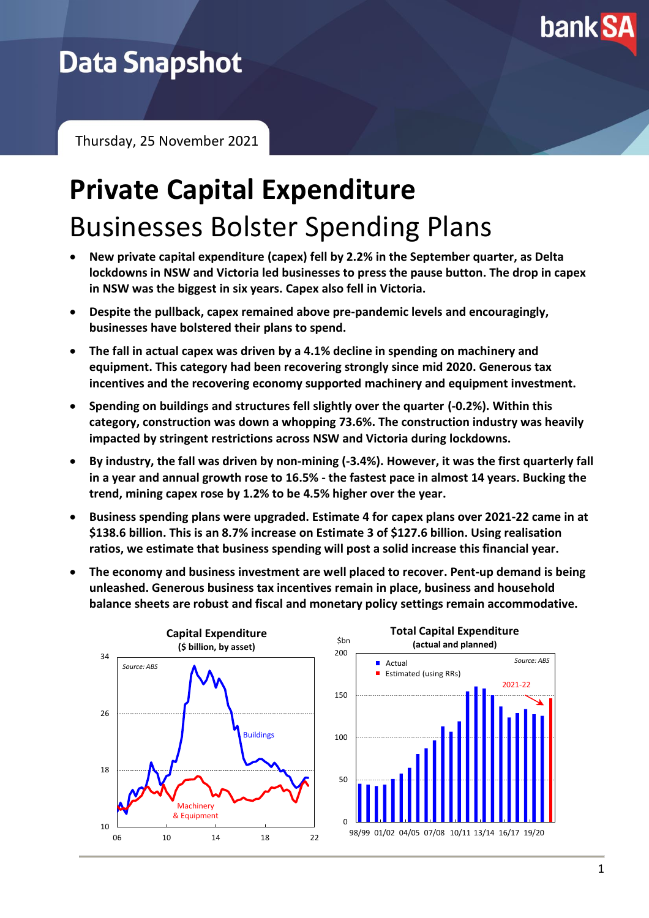

## **Data Snapshot**

Thursday, 25 November 2021

# **Private Capital Expenditure** Businesses Bolster Spending Plans

- **New private capital expenditure (capex) fell by 2.2% in the September quarter, as Delta lockdowns in NSW and Victoria led businesses to press the pause button. The drop in capex in NSW was the biggest in six years. Capex also fell in Victoria.**
- **Despite the pullback, capex remained above pre-pandemic levels and encouragingly, businesses have bolstered their plans to spend.**
- **The fall in actual capex was driven by a 4.1% decline in spending on machinery and equipment. This category had been recovering strongly since mid 2020. Generous tax incentives and the recovering economy supported machinery and equipment investment.**
- **Spending on buildings and structures fell slightly over the quarter (-0.2%). Within this category, construction was down a whopping 73.6%. The construction industry was heavily impacted by stringent restrictions across NSW and Victoria during lockdowns.**
- **By industry, the fall was driven by non-mining (-3.4%). However, it was the first quarterly fall in a year and annual growth rose to 16.5% - the fastest pace in almost 14 years. Bucking the trend, mining capex rose by 1.2% to be 4.5% higher over the year.**
- **Business spending plans were upgraded. Estimate 4 for capex plans over 2021-22 came in at \$138.6 billion. This is an 8.7% increase on Estimate 3 of \$127.6 billion. Using realisation ratios, we estimate that business spending will post a solid increase this financial year.**
- **The economy and business investment are well placed to recover. Pent-up demand is being unleashed. Generous business tax incentives remain in place, business and household balance sheets are robust and fiscal and monetary policy settings remain accommodative.**

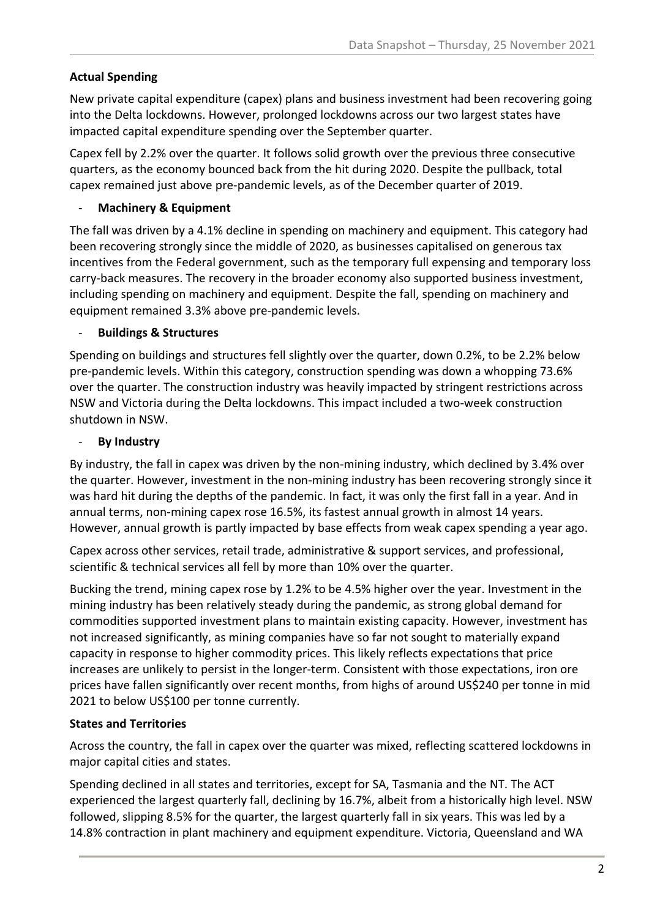### **Actual Spending**

New private capital expenditure (capex) plans and business investment had been recovering going into the Delta lockdowns. However, prolonged lockdowns across our two largest states have impacted capital expenditure spending over the September quarter.

Capex fell by 2.2% over the quarter. It follows solid growth over the previous three consecutive quarters, as the economy bounced back from the hit during 2020. Despite the pullback, total capex remained just above pre-pandemic levels, as of the December quarter of 2019.

#### - **Machinery & Equipment**

The fall was driven by a 4.1% decline in spending on machinery and equipment. This category had been recovering strongly since the middle of 2020, as businesses capitalised on generous tax incentives from the Federal government, such as the temporary full expensing and temporary loss carry-back measures. The recovery in the broader economy also supported business investment, including spending on machinery and equipment. Despite the fall, spending on machinery and equipment remained 3.3% above pre-pandemic levels.

### - **Buildings & Structures**

Spending on buildings and structures fell slightly over the quarter, down 0.2%, to be 2.2% below pre-pandemic levels. Within this category, construction spending was down a whopping 73.6% over the quarter. The construction industry was heavily impacted by stringent restrictions across NSW and Victoria during the Delta lockdowns. This impact included a two-week construction shutdown in NSW.

### - **By Industry**

By industry, the fall in capex was driven by the non-mining industry, which declined by 3.4% over the quarter. However, investment in the non-mining industry has been recovering strongly since it was hard hit during the depths of the pandemic. In fact, it was only the first fall in a year. And in annual terms, non-mining capex rose 16.5%, its fastest annual growth in almost 14 years. However, annual growth is partly impacted by base effects from weak capex spending a year ago.

Capex across other services, retail trade, administrative & support services, and professional, scientific & technical services all fell by more than 10% over the quarter.

Bucking the trend, mining capex rose by 1.2% to be 4.5% higher over the year. Investment in the mining industry has been relatively steady during the pandemic, as strong global demand for commodities supported investment plans to maintain existing capacity. However, investment has not increased significantly, as mining companies have so far not sought to materially expand capacity in response to higher commodity prices. This likely reflects expectations that price increases are unlikely to persist in the longer-term. Consistent with those expectations, iron ore prices have fallen significantly over recent months, from highs of around US\$240 per tonne in mid 2021 to below US\$100 per tonne currently.

#### **States and Territories**

Across the country, the fall in capex over the quarter was mixed, reflecting scattered lockdowns in major capital cities and states.

Spending declined in all states and territories, except for SA, Tasmania and the NT. The ACT experienced the largest quarterly fall, declining by 16.7%, albeit from a historically high level. NSW followed, slipping 8.5% for the quarter, the largest quarterly fall in six years. This was led by a 14.8% contraction in plant machinery and equipment expenditure. Victoria, Queensland and WA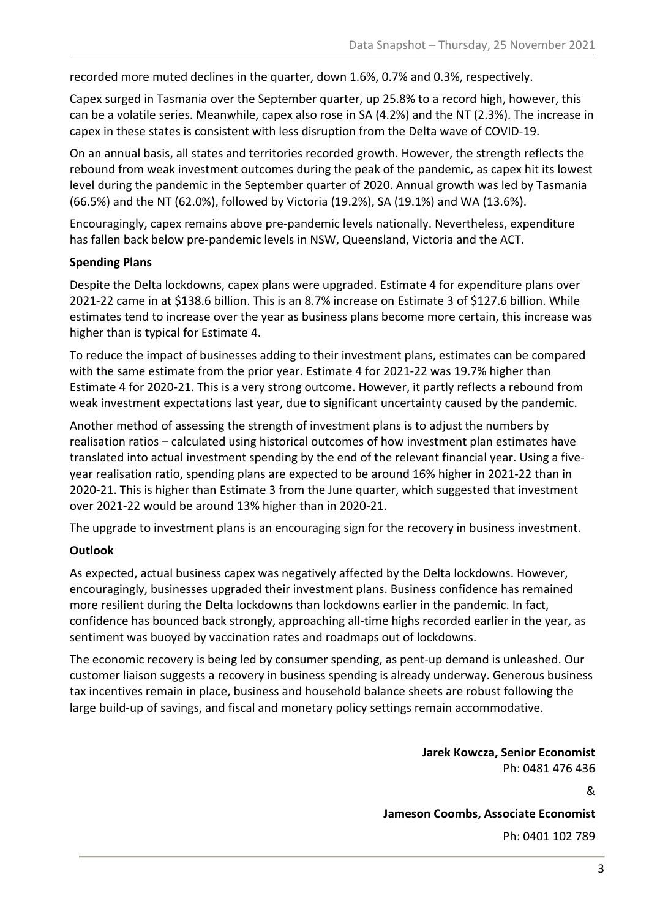recorded more muted declines in the quarter, down 1.6%, 0.7% and 0.3%, respectively.

Capex surged in Tasmania over the September quarter, up 25.8% to a record high, however, this can be a volatile series. Meanwhile, capex also rose in SA (4.2%) and the NT (2.3%). The increase in capex in these states is consistent with less disruption from the Delta wave of COVID-19.

On an annual basis, all states and territories recorded growth. However, the strength reflects the rebound from weak investment outcomes during the peak of the pandemic, as capex hit its lowest level during the pandemic in the September quarter of 2020. Annual growth was led by Tasmania (66.5%) and the NT (62.0%), followed by Victoria (19.2%), SA (19.1%) and WA (13.6%).

Encouragingly, capex remains above pre-pandemic levels nationally. Nevertheless, expenditure has fallen back below pre-pandemic levels in NSW, Queensland, Victoria and the ACT.

#### **Spending Plans**

Despite the Delta lockdowns, capex plans were upgraded. Estimate 4 for expenditure plans over 2021-22 came in at \$138.6 billion. This is an 8.7% increase on Estimate 3 of \$127.6 billion. While estimates tend to increase over the year as business plans become more certain, this increase was higher than is typical for Estimate 4.

To reduce the impact of businesses adding to their investment plans, estimates can be compared with the same estimate from the prior year. Estimate 4 for 2021-22 was 19.7% higher than Estimate 4 for 2020-21. This is a very strong outcome. However, it partly reflects a rebound from weak investment expectations last year, due to significant uncertainty caused by the pandemic.

Another method of assessing the strength of investment plans is to adjust the numbers by realisation ratios – calculated using historical outcomes of how investment plan estimates have translated into actual investment spending by the end of the relevant financial year. Using a fiveyear realisation ratio, spending plans are expected to be around 16% higher in 2021-22 than in 2020-21. This is higher than Estimate 3 from the June quarter, which suggested that investment over 2021-22 would be around 13% higher than in 2020-21.

The upgrade to investment plans is an encouraging sign for the recovery in business investment.

#### **Outlook**

As expected, actual business capex was negatively affected by the Delta lockdowns. However, encouragingly, businesses upgraded their investment plans. Business confidence has remained more resilient during the Delta lockdowns than lockdowns earlier in the pandemic. In fact, confidence has bounced back strongly, approaching all-time highs recorded earlier in the year, as sentiment was buoyed by vaccination rates and roadmaps out of lockdowns.

The economic recovery is being led by consumer spending, as pent-up demand is unleashed. Our customer liaison suggests a recovery in business spending is already underway. Generous business tax incentives remain in place, business and household balance sheets are robust following the large build-up of savings, and fiscal and monetary policy settings remain accommodative.

> **Jarek Kowcza, Senior Economist** Ph: 0481 476 436

> > &

**Jameson Coombs, Associate Economist**

Ph: 0401 102 789